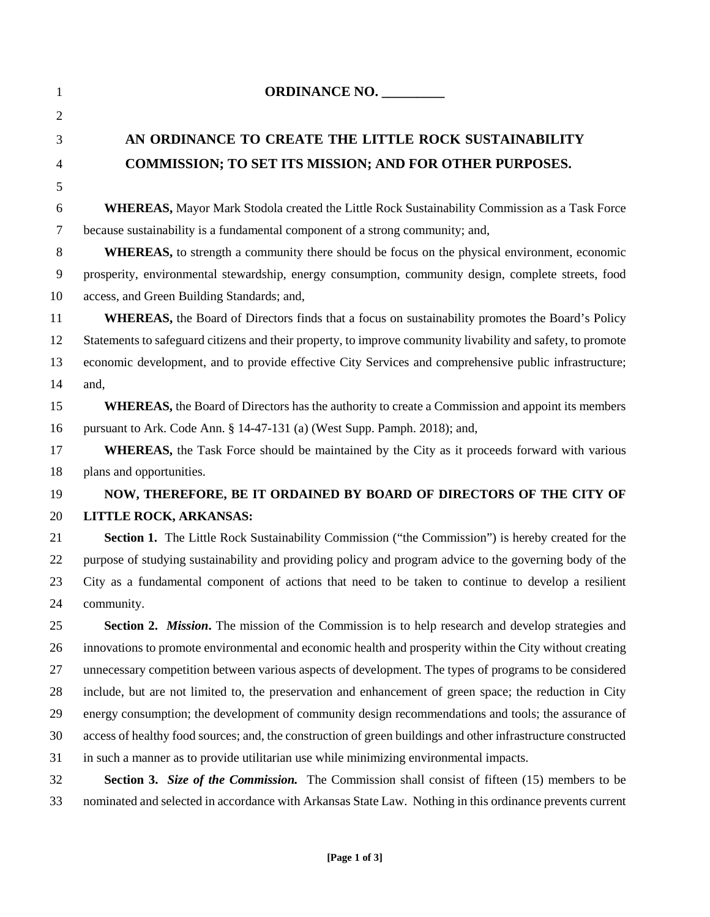| $\mathbf{1}$ | <b>ORDINANCE NO.</b>                                                                                          |
|--------------|---------------------------------------------------------------------------------------------------------------|
| 2            |                                                                                                               |
| 3            | AN ORDINANCE TO CREATE THE LITTLE ROCK SUSTAINABILITY                                                         |
| 4            | <b>COMMISSION; TO SET ITS MISSION; AND FOR OTHER PURPOSES.</b>                                                |
| 5            |                                                                                                               |
| 6            | <b>WHEREAS, Mayor Mark Stodola created the Little Rock Sustainability Commission as a Task Force</b>          |
| $\tau$       | because sustainability is a fundamental component of a strong community; and,                                 |
| 8            | WHEREAS, to strength a community there should be focus on the physical environment, economic                  |
| 9            | prosperity, environmental stewardship, energy consumption, community design, complete streets, food           |
| 10           | access, and Green Building Standards; and,                                                                    |
| 11           | <b>WHEREAS</b> , the Board of Directors finds that a focus on sustainability promotes the Board's Policy      |
| 12           | Statements to safeguard citizens and their property, to improve community livability and safety, to promote   |
| 13           | economic development, and to provide effective City Services and comprehensive public infrastructure;         |
| 14           | and,                                                                                                          |
| 15           | <b>WHEREAS</b> , the Board of Directors has the authority to create a Commission and appoint its members      |
| 16           | pursuant to Ark. Code Ann. § 14-47-131 (a) (West Supp. Pamph. 2018); and,                                     |
| 17           | WHEREAS, the Task Force should be maintained by the City as it proceeds forward with various                  |
| 18           | plans and opportunities.                                                                                      |
| 19           | NOW, THEREFORE, BE IT ORDAINED BY BOARD OF DIRECTORS OF THE CITY OF                                           |
| 20           | LITTLE ROCK, ARKANSAS:                                                                                        |
| 21           | Section 1. The Little Rock Sustainability Commission ("the Commission") is hereby created for the             |
| 22           | purpose of studying sustainability and providing policy and program advice to the governing body of the       |
| 23           | City as a fundamental component of actions that need to be taken to continue to develop a resilient           |
| 24           | community.                                                                                                    |
| 25           | Section 2. <i>Mission</i> . The mission of the Commission is to help research and develop strategies and      |
| 26           | innovations to promote environmental and economic health and prosperity within the City without creating      |
| 27           | unnecessary competition between various aspects of development. The types of programs to be considered        |
| 28           | include, but are not limited to, the preservation and enhancement of green space; the reduction in City       |
| 29           | energy consumption; the development of community design recommendations and tools; the assurance of           |
| 30           | access of healthy food sources; and, the construction of green buildings and other infrastructure constructed |
| 31           | in such a manner as to provide utilitarian use while minimizing environmental impacts.                        |
| 32           | Section 3. Size of the Commission. The Commission shall consist of fifteen (15) members to be                 |
| 33           | nominated and selected in accordance with Arkansas State Law. Nothing in this ordinance prevents current      |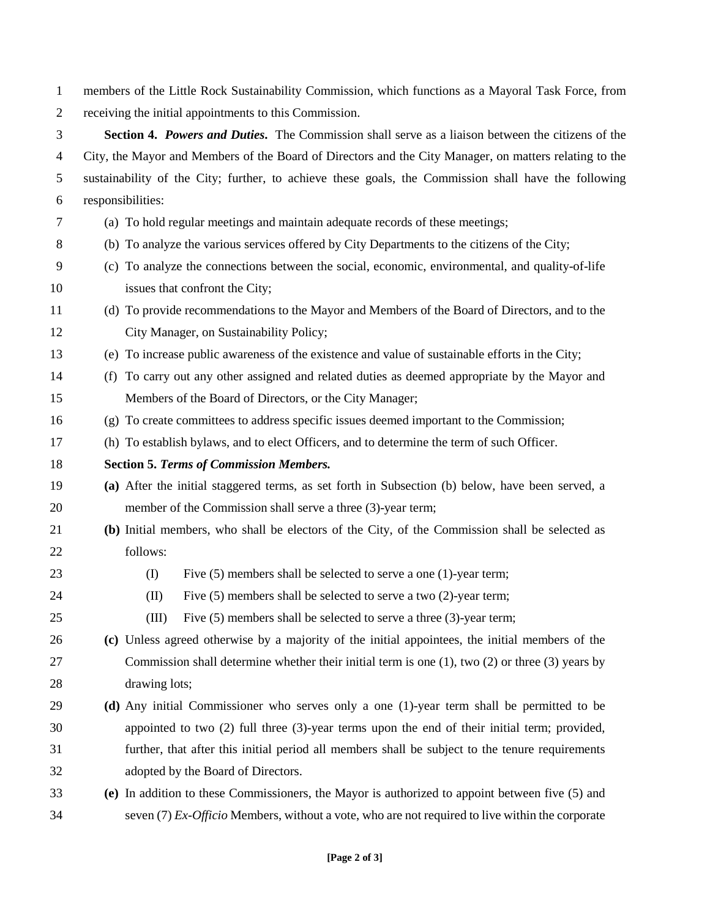members of the Little Rock Sustainability Commission, which functions as a Mayoral Task Force, from receiving the initial appointments to this Commission. **Section 4.** *Powers and Duties***.** The Commission shall serve as a liaison between the citizens of the City, the Mayor and Members of the Board of Directors and the City Manager, on matters relating to the sustainability of the City; further, to achieve these goals, the Commission shall have the following responsibilities: (a) To hold regular meetings and maintain adequate records of these meetings; (b) To analyze the various services offered by City Departments to the citizens of the City; (c) To analyze the connections between the social, economic, environmental, and quality-of-life issues that confront the City; (d) To provide recommendations to the Mayor and Members of the Board of Directors, and to the City Manager, on Sustainability Policy; (e) To increase public awareness of the existence and value of sustainable efforts in the City; (f) To carry out any other assigned and related duties as deemed appropriate by the Mayor and Members of the Board of Directors, or the City Manager; (g) To create committees to address specific issues deemed important to the Commission; (h) To establish bylaws, and to elect Officers, and to determine the term of such Officer. **Section 5.** *Terms of Commission Members.*  **(a)** After the initial staggered terms, as set forth in Subsection (b) below, have been served, a member of the Commission shall serve a three (3)-year term; **(b)** Initial members, who shall be electors of the City, of the Commission shall be selected as follows: (I) Five (5) members shall be selected to serve a one (1)-year term; (II) Five (5) members shall be selected to serve a two (2)-year term; (III) Five (5) members shall be selected to serve a three (3)-year term; **(c)** Unless agreed otherwise by a majority of the initial appointees, the initial members of the Commission shall determine whether their initial term is one (1), two (2) or three (3) years by drawing lots; **(d)** Any initial Commissioner who serves only a one (1)-year term shall be permitted to be appointed to two (2) full three (3)-year terms upon the end of their initial term; provided, further, that after this initial period all members shall be subject to the tenure requirements adopted by the Board of Directors. **(e)** In addition to these Commissioners, the Mayor is authorized to appoint between five (5) and seven (7) *Ex-Officio* Members, without a vote, who are not required to live within the corporate